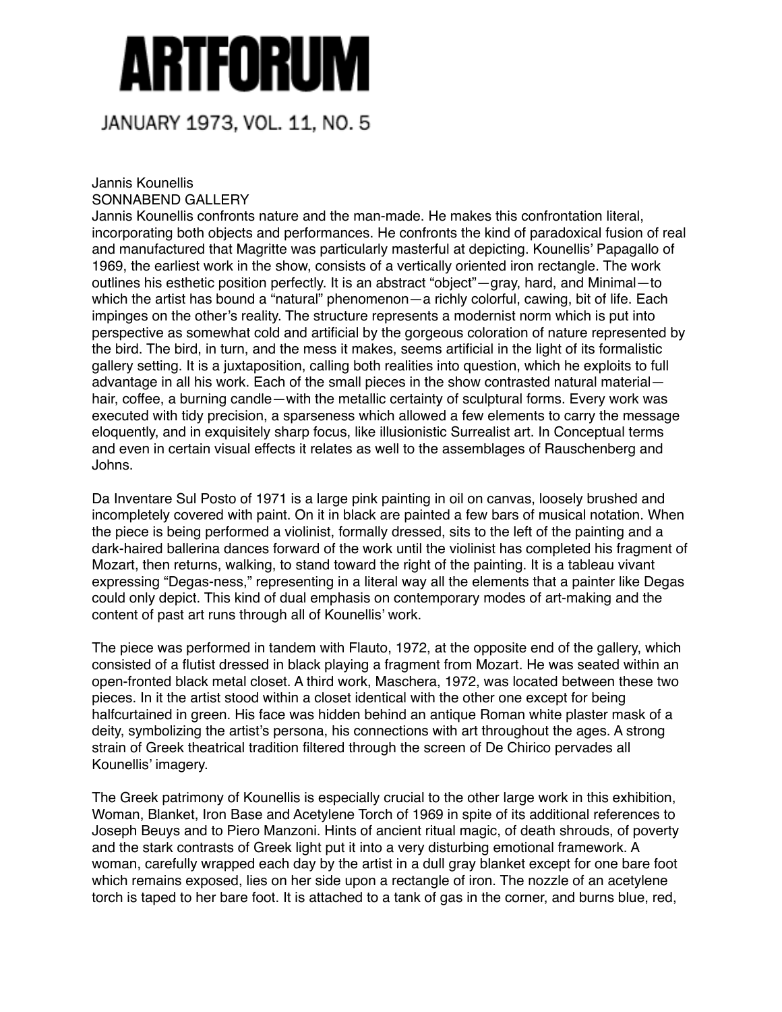## Artforum

## JANUARY 1973, VOL. 11, NO. 5

## Jannis Kounellis SONNABEND GALLERY

Jannis Kounellis confronts nature and the man-made. He makes this confrontation literal, incorporating both objects and performances. He confronts the kind of paradoxical fusion of real and manufactured that Magritte was particularly masterful at depicting. Kounellis' Papagallo of 1969, the earliest work in the show, consists of a vertically oriented iron rectangle. The work outlines his esthetic position perfectly. It is an abstract "object"—gray, hard, and Minimal—to which the artist has bound a "natural" phenomenon—a richly colorful, cawing, bit of life. Each impinges on the other's reality. The structure represents a modernist norm which is put into perspective as somewhat cold and artificial by the gorgeous coloration of nature represented by the bird. The bird, in turn, and the mess it makes, seems artificial in the light of its formalistic gallery setting. It is a juxtaposition, calling both realities into question, which he exploits to full advantage in all his work. Each of the small pieces in the show contrasted natural material hair, coffee, a burning candle—with the metallic certainty of sculptural forms. Every work was executed with tidy precision, a sparseness which allowed a few elements to carry the message eloquently, and in exquisitely sharp focus, like illusionistic Surrealist art. In Conceptual terms and even in certain visual effects it relates as well to the assemblages of Rauschenberg and Johns.

Da Inventare Sul Posto of 1971 is a large pink painting in oil on canvas, loosely brushed and incompletely covered with paint. On it in black are painted a few bars of musical notation. When the piece is being performed a violinist, formally dressed, sits to the left of the painting and a dark-haired ballerina dances forward of the work until the violinist has completed his fragment of Mozart, then returns, walking, to stand toward the right of the painting. It is a tableau vivant expressing "Degas-ness," representing in a literal way all the elements that a painter like Degas could only depict. This kind of dual emphasis on contemporary modes of art-making and the content of past art runs through all of Kounellis' work.

The piece was performed in tandem with Flauto, 1972, at the opposite end of the gallery, which consisted of a flutist dressed in black playing a fragment from Mozart. He was seated within an open-fronted black metal closet. A third work, Maschera, 1972, was located between these two pieces. In it the artist stood within a closet identical with the other one except for being halfcurtained in green. His face was hidden behind an antique Roman white plaster mask of a deity, symbolizing the artist's persona, his connections with art throughout the ages. A strong strain of Greek theatrical tradition filtered through the screen of De Chirico pervades all Kounellis' imagery.

The Greek patrimony of Kounellis is especially crucial to the other large work in this exhibition, Woman, Blanket, Iron Base and Acetylene Torch of 1969 in spite of its additional references to Joseph Beuys and to Piero Manzoni. Hints of ancient ritual magic, of death shrouds, of poverty and the stark contrasts of Greek light put it into a very disturbing emotional framework. A woman, carefully wrapped each day by the artist in a dull gray blanket except for one bare foot which remains exposed, lies on her side upon a rectangle of iron. The nozzle of an acetylene torch is taped to her bare foot. It is attached to a tank of gas in the corner, and burns blue, red,